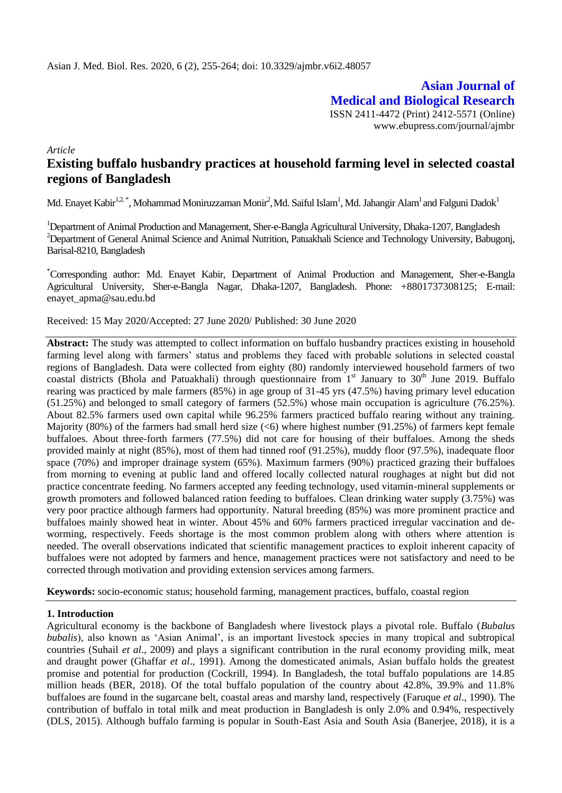**Asian Journal of Medical and Biological Research** ISSN 2411-4472 (Print) 2412-5571 (Online) www.ebupress.com/journal/ajmbr

*Article*

# **Existing buffalo husbandry practices at household farming level in selected coastal regions of Bangladesh**

Md. Enayet Kabir $^{1,2, \ast}$ , Mohammad Moniruzzaman Monir $^2$ ,Md. Saiful Islam $^1$ ,Md. Jahangir Alam $^1$ and Falguni Dadok $^1$ 

<sup>1</sup>Department of Animal Production and Management, Sher-e-Bangla Agricultural University, Dhaka-1207, Bangladesh <sup>2</sup>Department of General Animal Science and Animal Nutrition, Patuakhali Science and Technology University, Babugonj, Barisal-8210, Bangladesh

\*Corresponding author: Md. Enayet Kabir, Department of Animal Production and Management, Sher-e-Bangla Agricultural University, Sher-e-Bangla Nagar, Dhaka-1207, Bangladesh. Phone: +8801737308125; E-mail: [enayet\\_apma@sau.edu.bd](mailto:enayet_apma@sau.edu.bd)

Received: 15 May 2020/Accepted: 27 June 2020/ Published: 30 June 2020

**Abstract:** The study was attempted to collect information on buffalo husbandry practices existing in household farming level along with farmers' status and problems they faced with probable solutions in selected coastal regions of Bangladesh. Data were collected from eighty (80) randomly interviewed household farmers of two coastal districts (Bhola and Patuakhali) through questionnaire from  $1<sup>st</sup>$  January to 30<sup>th</sup> June 2019. Buffalo rearing was practiced by male farmers (85%) in age group of 31-45 yrs (47.5%) having primary level education (51.25%) and belonged to small category of farmers (52.5%) whose main occupation is agriculture (76.25%). About 82.5% farmers used own capital while 96.25% farmers practiced buffalo rearing without any training. Majority (80%) of the farmers had small herd size  $(<$ 6) where highest number (91.25%) of farmers kept female buffaloes. About three-forth farmers (77.5%) did not care for housing of their buffaloes. Among the sheds provided mainly at night (85%), most of them had tinned roof (91.25%), muddy floor (97.5%), inadequate floor space (70%) and improper drainage system (65%). Maximum farmers (90%) practiced grazing their buffaloes from morning to evening at public land and offered locally collected natural roughages at night but did not practice concentrate feeding. No farmers accepted any feeding technology, used vitamin-mineral supplements or growth promoters and followed balanced ration feeding to buffaloes. Clean drinking water supply (3.75%) was very poor practice although farmers had opportunity. Natural breeding (85%) was more prominent practice and buffaloes mainly showed heat in winter. About 45% and 60% farmers practiced irregular vaccination and deworming, respectively. Feeds shortage is the most common problem along with others where attention is needed. The overall observations indicated that scientific management practices to exploit inherent capacity of buffaloes were not adopted by farmers and hence, management practices were not satisfactory and need to be corrected through motivation and providing extension services among farmers.

**Keywords:** socio-economic status; household farming, management practices, buffalo, coastal region

# **1. Introduction**

Agricultural economy is the backbone of Bangladesh where livestock plays a pivotal role. Buffalo (*Bubalus bubalis*), also known as 'Asian Animal', is an important livestock species in many tropical and subtropical countries (Suhail *et al*., 2009) and plays a significant contribution in the rural economy providing milk, meat and draught power (Ghaffar *et al*., 1991). Among the domesticated animals, Asian buffalo holds the greatest promise and potential for production (Cockrill, 1994). In Bangladesh, the total buffalo populations are 14.85 million heads (BER, 2018). Of the total buffalo population of the country about 42.8%, 39.9% and 11.8% buffaloes are found in the sugarcane belt, coastal areas and marshy land, respectively (Faruque *et al*., 1990). The contribution of buffalo in total milk and meat production in Bangladesh is only 2.0% and 0.94%, respectively (DLS, 2015). Although buffalo farming is popular in South-East Asia and South Asia (Banerjee, 2018), it is a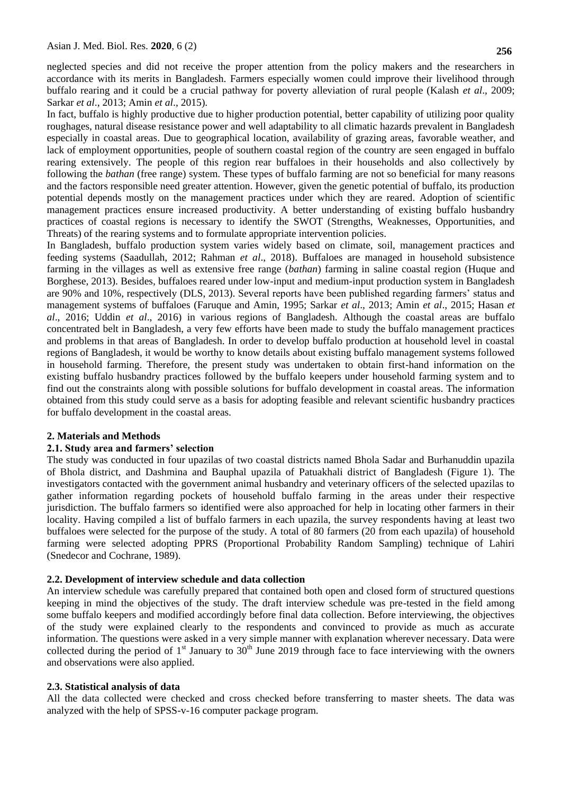neglected species and did not receive the proper attention from the policy makers and the researchers in accordance with its merits in Bangladesh. Farmers especially women could improve their livelihood through buffalo rearing and it could be a crucial pathway for poverty alleviation of rural people (Kalash *et al*., 2009; Sarkar *et al*., 2013; Amin *et al*., 2015).

In fact, buffalo is highly productive due to higher production potential, better capability of utilizing poor quality roughages, natural disease resistance power and well adaptability to all climatic hazards prevalent in Bangladesh especially in coastal areas. Due to geographical location, availability of grazing areas, favorable weather, and lack of employment opportunities, people of southern coastal region of the country are seen engaged in buffalo rearing extensively. The people of this region rear buffaloes in their households and also collectively by following the *bathan* (free range) system. These types of buffalo farming are not so beneficial for many reasons and the factors responsible need greater attention. However, given the genetic potential of buffalo, its production potential depends mostly on the management practices under which they are reared. Adoption of scientific management practices ensure increased productivity. A better understanding of existing buffalo husbandry practices of coastal regions is necessary to identify the SWOT (Strengths, Weaknesses, Opportunities, and Threats) of the rearing systems and to formulate appropriate intervention policies.

In Bangladesh, buffalo production system varies widely based on climate, soil, management practices and feeding systems (Saadullah, 2012; Rahman *et al*., 2018). Buffaloes are managed in household subsistence farming in the villages as well as extensive free range (*bathan*) farming in saline coastal region (Huque and Borghese, 2013). Besides, buffaloes reared under low-input and medium-input production system in Bangladesh are 90% and 10%, respectively (DLS, 2013). Several reports have been published regarding farmers' status and management systems of buffaloes (Faruque and Amin, 1995; Sarkar *et al*., 2013; Amin *et al*., 2015; Hasan *et al*., 2016; Uddin *et al*., 2016) in various regions of Bangladesh. Although the coastal areas are buffalo concentrated belt in Bangladesh, a very few efforts have been made to study the buffalo management practices and problems in that areas of Bangladesh. In order to develop buffalo production at household level in coastal regions of Bangladesh, it would be worthy to know details about existing buffalo management systems followed in household farming. Therefore, the present study was undertaken to obtain first-hand information on the existing buffalo husbandry practices followed by the buffalo keepers under household farming system and to find out the constraints along with possible solutions for buffalo development in coastal areas. The information obtained from this study could serve as a basis for adopting feasible and relevant scientific husbandry practices for buffalo development in the coastal areas.

### **2. Materials and Methods**

### **2.1. Study area and farmers' selection**

The study was conducted in four upazilas of two coastal districts named Bhola Sadar and Burhanuddin upazila of Bhola district, and Dashmina and Bauphal upazila of Patuakhali district of Bangladesh (Figure 1). The investigators contacted with the government animal husbandry and veterinary officers of the selected upazilas to gather information regarding pockets of household buffalo farming in the areas under their respective jurisdiction. The buffalo farmers so identified were also approached for help in locating other farmers in their locality. Having compiled a list of buffalo farmers in each upazila, the survey respondents having at least two buffaloes were selected for the purpose of the study. A total of 80 farmers (20 from each upazila) of household farming were selected adopting PPRS (Proportional Probability Random Sampling) technique of Lahiri (Snedecor and Cochrane, 1989).

### **2.2. Development of interview schedule and data collection**

An interview schedule was carefully prepared that contained both open and closed form of structured questions keeping in mind the objectives of the study. The draft interview schedule was pre-tested in the field among some buffalo keepers and modified accordingly before final data collection. Before interviewing, the objectives of the study were explained clearly to the respondents and convinced to provide as much as accurate information. The questions were asked in a very simple manner with explanation wherever necessary. Data were collected during the period of  $1<sup>st</sup>$  January to  $30<sup>th</sup>$  June 2019 through face to face interviewing with the owners and observations were also applied.

### **2.3. Statistical analysis of data**

All the data collected were checked and cross checked before transferring to master sheets. The data was analyzed with the help of SPSS-v-16 computer package program.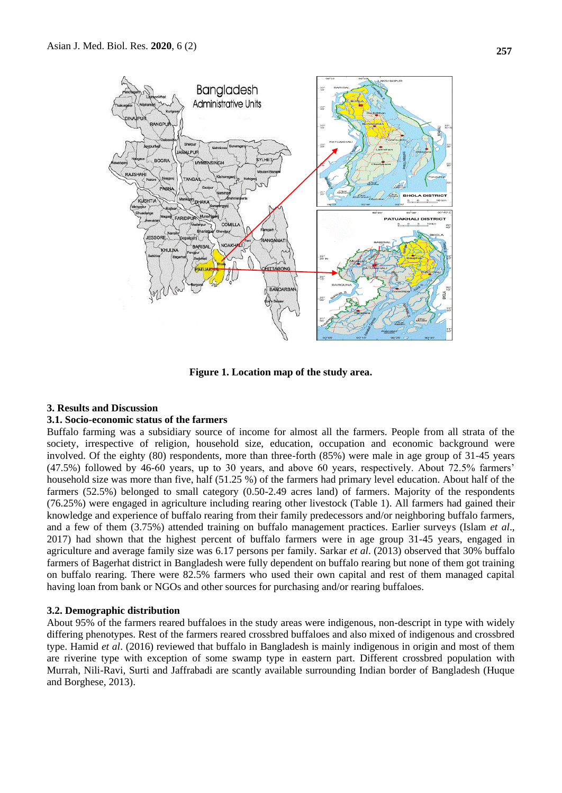

**Figure 1. Location map of the study area.**

# **3. Results and Discussion**

### **3.1. Socio-economic status of the farmers**

Buffalo farming was a subsidiary source of income for almost all the farmers. People from all strata of the society, irrespective of religion, household size, education, occupation and economic background were involved. Of the eighty (80) respondents, more than three-forth (85%) were male in age group of 31-45 years (47.5%) followed by 46-60 years, up to 30 years, and above 60 years, respectively. About 72.5% farmers' household size was more than five, half (51.25 %) of the farmers had primary level education. About half of the farmers (52.5%) belonged to small category (0.50-2.49 acres land) of farmers. Majority of the respondents (76.25%) were engaged in agriculture including rearing other livestock (Table 1). All farmers had gained their knowledge and experience of buffalo rearing from their family predecessors and/or neighboring buffalo farmers, and a few of them (3.75%) attended training on buffalo management practices. Earlier surveys (Islam *et al*., 2017) had shown that the highest percent of buffalo farmers were in age group 31-45 years, engaged in agriculture and average family size was 6.17 persons per family. Sarkar *et al*. (2013) observed that 30% buffalo farmers of Bagerhat district in Bangladesh were fully dependent on buffalo rearing but none of them got training on buffalo rearing. There were 82.5% farmers who used their own capital and rest of them managed capital having loan from bank or NGOs and other sources for purchasing and/or rearing buffaloes.

### **3.2. Demographic distribution**

About 95% of the farmers reared buffaloes in the study areas were indigenous, non-descript in type with widely differing phenotypes. Rest of the farmers reared crossbred buffaloes and also mixed of indigenous and crossbred type. Hamid *et al*. (2016) reviewed that buffalo in Bangladesh is mainly indigenous in origin and most of them are riverine type with exception of some swamp type in eastern part. Different crossbred population with Murrah, Nili-Ravi, Surti and Jaffrabadi are scantly available surrounding Indian border of Bangladesh (Huque and Borghese, 2013).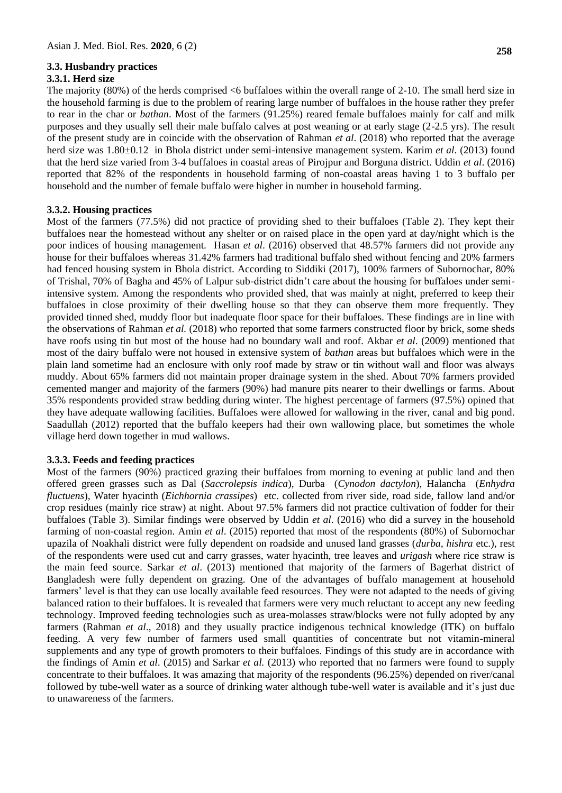# **3.3. Husbandry practices**

# **3.3.1. Herd size**

The majority (80%) of the herds comprised <6 buffaloes within the overall range of 2-10. The small herd size in the household farming is due to the problem of rearing large number of buffaloes in the house rather they prefer to rear in the char or *bathan*. Most of the farmers (91.25%) reared female buffaloes mainly for calf and milk purposes and they usually sell their male buffalo calves at post weaning or at early stage (2-2.5 yrs). The result of the present study are in coincide with the observation of Rahman *et al*. (2018) who reported that the average herd size was 1.80±0.12 in Bhola district under semi-intensive management system. Karim *et al*. (2013) found that the herd size varied from 3-4 buffaloes in coastal areas of Pirojpur and Borguna district. Uddin *et al*. (2016) reported that 82% of the respondents in household farming of non-coastal areas having 1 to 3 buffalo per

household and the number of female buffalo were higher in number in household farming.

# **3.3.2. Housing practices**

Most of the farmers (77.5%) did not practice of providing shed to their buffaloes (Table 2). They kept their buffaloes near the homestead without any shelter or on raised place in the open yard at day/night which is the poor indices of housing management. Hasan *et al*. (2016) observed that 48.57% farmers did not provide any house for their buffaloes whereas 31.42% farmers had traditional buffalo shed without fencing and 20% farmers had fenced housing system in Bhola district. According to Siddiki (2017), 100% farmers of Subornochar, 80% of Trishal, 70% of Bagha and 45% of Lalpur sub-district didn't care about the housing for buffaloes under semiintensive system. Among the respondents who provided shed, that was mainly at night, preferred to keep their buffaloes in close proximity of their dwelling house so that they can observe them more frequently. They provided tinned shed, muddy floor but inadequate floor space for their buffaloes. These findings are in line with the observations of Rahman *et al.* (2018) who reported that some farmers constructed floor by brick, some sheds have roofs using tin but most of the house had no boundary wall and roof. Akbar *et al*. (2009) mentioned that most of the dairy buffalo were not housed in extensive system of *bathan* areas but buffaloes which were in the plain land sometime had an enclosure with only roof made by straw or tin without wall and floor was always muddy. About 65% farmers did not maintain proper drainage system in the shed. About 70% farmers provided cemented manger and majority of the farmers (90%) had manure pits nearer to their dwellings or farms. About 35% respondents provided straw bedding during winter. The highest percentage of farmers (97.5%) opined that they have adequate wallowing facilities. Buffaloes were allowed for wallowing in the river, canal and big pond. Saadullah (2012) reported that the buffalo keepers had their own wallowing place, but sometimes the whole village herd down together in mud wallows.

### **3.3.3. Feeds and feeding practices**

Most of the farmers (90%) practiced grazing their buffaloes from morning to evening at public land and then offered green grasses such as Dal (*Saccrolepsis indica*), Durba (*Cynodon dactylon*), Halancha (*Enhydra fluctuens*), Water hyacinth (*Eichhornia crassipes*) etc. collected from river side, road side, fallow land and/or crop residues (mainly rice straw) at night. About 97.5% farmers did not practice cultivation of fodder for their buffaloes (Table 3). Similar findings were observed by Uddin *et al*. (2016) who did a survey in the household farming of non-coastal region. Amin *et al*. (2015) reported that most of the respondents (80%) of Subornochar upazila of Noakhali district were fully dependent on roadside and unused land grasses (*durba, hishra* etc.), rest of the respondents were used cut and carry grasses, water hyacinth, tree leaves and *urigash* where rice straw is the main feed source. Sarkar *et al*. (2013) mentioned that majority of the farmers of Bagerhat district of Bangladesh were fully dependent on grazing. One of the advantages of buffalo management at household farmers' level is that they can use locally available feed resources. They were not adapted to the needs of giving balanced ration to their buffaloes. It is revealed that farmers were very much reluctant to accept any new feeding technology. Improved feeding technologies such as urea-molasses straw/blocks were not fully adopted by any farmers (Rahman *et al*., 2018) and they usually practice indigenous technical knowledge (ITK) on buffalo feeding. A very few number of farmers used small quantities of concentrate but not vitamin-mineral supplements and any type of growth promoters to their buffaloes. Findings of this study are in accordance with the findings of Amin *et al*. (2015) and Sarkar *et al.* (2013) who reported that no farmers were found to supply concentrate to their buffaloes. It was amazing that majority of the respondents (96.25%) depended on river/canal followed by tube-well water as a source of drinking water although tube-well water is available and it's just due to unawareness of the farmers.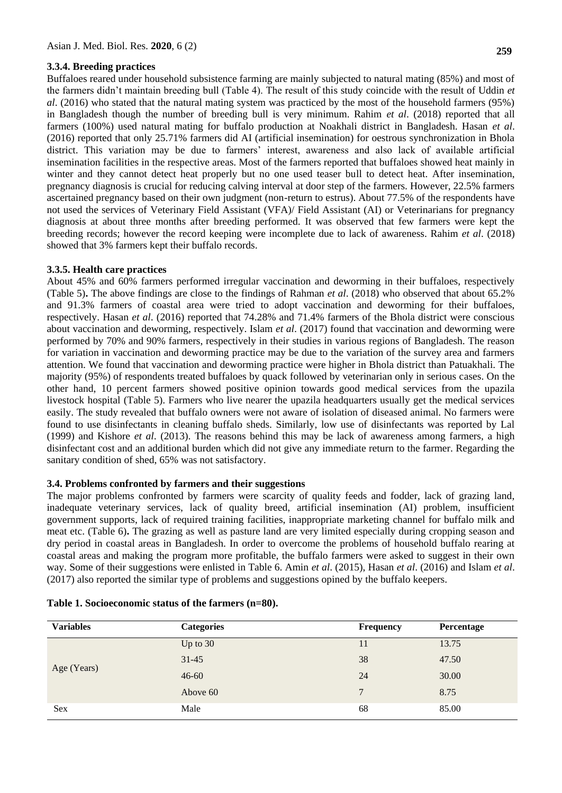# **3.3.4. Breeding practices**

Buffaloes reared under household subsistence farming are mainly subjected to natural mating (85%) and most of the farmers didn't maintain breeding bull (Table 4). The result of this study coincide with the result of Uddin *et al*. (2016) who stated that the natural mating system was practiced by the most of the household farmers (95%) in Bangladesh though the number of breeding bull is very minimum. Rahim *et al*. (2018) reported that all farmers (100%) used natural mating for buffalo production at Noakhali district in Bangladesh. Hasan *et al*. (2016) reported that only 25.71% farmers did AI (artificial insemination) for oestrous synchronization in Bhola district. This variation may be due to farmers' interest, awareness and also lack of available artificial insemination facilities in the respective areas. Most of the farmers reported that buffaloes showed heat mainly in winter and they cannot detect heat properly but no one used teaser bull to detect heat. After insemination, pregnancy diagnosis is crucial for reducing calving interval at door step of the farmers. However, 22.5% farmers ascertained pregnancy based on their own judgment (non-return to estrus). About 77.5% of the respondents have not used the services of Veterinary Field Assistant (VFA)/ Field Assistant (AI) or Veterinarians for pregnancy diagnosis at about three months after breeding performed. It was observed that few farmers were kept the breeding records; however the record keeping were incomplete due to lack of awareness. Rahim *et al*. (2018) showed that 3% farmers kept their buffalo records.

# **3.3.5. Health care practices**

About 45% and 60% farmers performed irregular vaccination and deworming in their buffaloes, respectively (Table 5)**.** The above findings are close to the findings of Rahman *et al*. (2018) who observed that about 65.2% and 91.3% farmers of coastal area were tried to adopt vaccination and deworming for their buffaloes, respectively. Hasan *et al*. (2016) reported that 74.28% and 71.4% farmers of the Bhola district were conscious about vaccination and deworming, respectively. Islam *et al*. (2017) found that vaccination and deworming were performed by 70% and 90% farmers, respectively in their studies in various regions of Bangladesh. The reason for variation in vaccination and deworming practice may be due to the variation of the survey area and farmers attention. We found that vaccination and deworming practice were higher in Bhola district than Patuakhali. The majority (95%) of respondents treated buffaloes by quack followed by veterinarian only in serious cases. On the other hand, 10 percent farmers showed positive opinion towards good medical services from the upazila [livestock](https://www.omicsonline.org/stock-forex-trading.php) hospital (Table 5). Farmers who live nearer the upazila headquarters usually get the medical services easily. The study revealed that buffalo owners were not aware of isolation of diseased animal. No farmers were found to use disinfectants in cleaning buffalo sheds. Similarly, low use of disinfectants was reported by Lal (1999) and Kishore *et al*. (2013). The reasons behind this may be lack of awareness among farmers, a high disinfectant cost and an additional burden which did not give any immediate return to the farmer. Regarding the sanitary condition of shed, 65% was not satisfactory.

# **3.4. Problems confronted by farmers and their suggestions**

The major problems confronted by farmers were scarcity of quality feeds and fodder, lack of grazing land, inadequate veterinary services, lack of quality breed, artificial insemination (AI) problem, insufficient government supports, lack of required training facilities, inappropriate marketing channel for buffalo milk and meat etc. (Table 6)**.** The grazing as well as pasture land are very limited especially during cropping season and dry period in coastal areas in Bangladesh. In order to overcome the problems of household buffalo rearing at coastal areas and making the program more profitable, the buffalo farmers were asked to suggest in their own way. Some of their suggestions were enlisted in Table 6. Amin *et al*. (2015), Hasan *et al*. (2016) and Islam *et al*. (2017) also reported the similar type of problems and suggestions opined by the buffalo keepers.

| <b>Variables</b> | <b>Categories</b> | Frequency       | Percentage |
|------------------|-------------------|-----------------|------------|
| Age (Years)      | Up to $30$        | 11              | 13.75      |
|                  | $31 - 45$         | 38              | 47.50      |
|                  | $46 - 60$         | 24              | 30.00      |
|                  | Above 60          | $7\phantom{.0}$ | 8.75       |
| Sex              | Male              | 68              | 85.00      |

#### **Table 1. Socioeconomic status of the farmers (n=80).**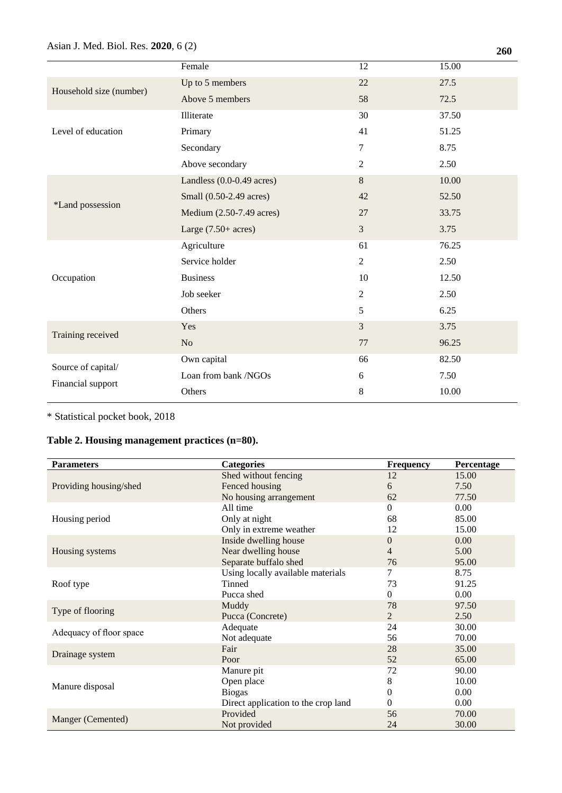|                         |                                     |                | 260   |
|-------------------------|-------------------------------------|----------------|-------|
|                         | Female                              | 12             | 15.00 |
| Household size (number) | Up to 5 members                     | 22             | 27.5  |
|                         | Above 5 members                     | 58             | 72.5  |
|                         | Illiterate                          | 30             | 37.50 |
| Level of education      | Primary                             | 41             | 51.25 |
|                         | Secondary                           | $\tau$         | 8.75  |
|                         | Above secondary                     | $\overline{2}$ | 2.50  |
|                         | Landless $(0.0-0.49 \text{ acres})$ | 8              | 10.00 |
|                         | Small (0.50-2.49 acres)             | 42             | 52.50 |
| *Land possession        | Medium (2.50-7.49 acres)            | 27             | 33.75 |
|                         | Large $(7.50 + \text{acres})$       | $\overline{3}$ | 3.75  |
|                         | Agriculture                         | 61             | 76.25 |
|                         | Service holder                      | $\overline{2}$ | 2.50  |
| Occupation              | <b>Business</b>                     | 10             | 12.50 |
|                         | Job seeker                          | 2              | 2.50  |
|                         | Others                              | 5              | 6.25  |
|                         | Yes                                 | $\overline{3}$ | 3.75  |
| Training received       | No                                  | 77             | 96.25 |
|                         | Own capital                         | 66             | 82.50 |
| Source of capital/      | Loan from bank /NGOs                | 6              | 7.50  |
| Financial support       | Others                              | 8              | 10.00 |

\* Statistical pocket book, 2018

# **Table 2. Housing management practices (n=80).**

| <b>Parameters</b>       | <b>Categories</b>                   | <b>Frequency</b> | Percentage |
|-------------------------|-------------------------------------|------------------|------------|
|                         | Shed without fencing                | 12               | 15.00      |
| Providing housing/shed  | Fenced housing                      | 6                | 7.50       |
|                         | No housing arrangement              | 62               | 77.50      |
|                         | All time                            | $\Omega$         | 0.00       |
| Housing period          | Only at night                       | 68               | 85.00      |
|                         | Only in extreme weather             | 12               | 15.00      |
|                         | Inside dwelling house               | $\overline{0}$   | 0.00       |
| Housing systems         | Near dwelling house                 | 4                | 5.00       |
|                         | Separate buffalo shed               | 76               | 95.00      |
|                         | Using locally available materials   | 7                | 8.75       |
| Roof type               | Tinned                              | 73               | 91.25      |
|                         | Pucca shed                          | 0                | 0.00       |
|                         | Muddy                               | 78               | 97.50      |
| Type of flooring        | Pucca (Concrete)                    | 2                | 2.50       |
|                         | Adequate                            | 24               | 30.00      |
| Adequacy of floor space | Not adequate                        | 56               | 70.00      |
|                         | Fair                                | 28               | 35.00      |
| Drainage system         | Poor                                | 52               | 65.00      |
|                         | Manure pit                          | 72               | 90.00      |
|                         | Open place                          | 8                | 10.00      |
| Manure disposal         | <b>Biogas</b>                       | $\overline{0}$   | 0.00       |
|                         | Direct application to the crop land | $\Omega$         | 0.00       |
|                         | Provided                            | 56               | 70.00      |
| Manger (Cemented)       | Not provided                        | 24               | 30.00      |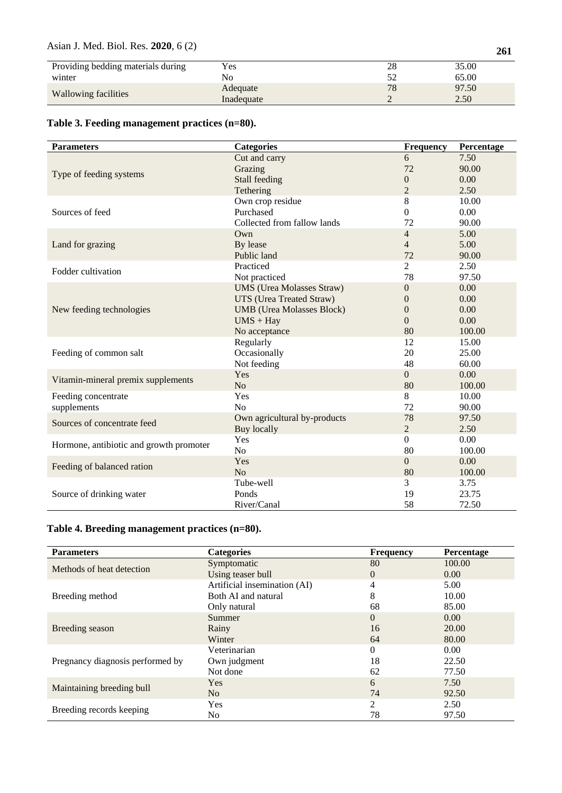# Asian J. Med. Biol. Res. **2020**, 6 (2)

| Providing bedding materials during | Yes        | 28 | 35.00 |
|------------------------------------|------------|----|-------|
| winter                             | No         |    | 65.00 |
| <b>Wallowing facilities</b>        | Adequate   | 78 | 97.50 |
|                                    | Inadequate |    | 2.50  |

# **Table 3. Feeding management practices (n=80).**

| <b>Parameters</b>                       | <b>Categories</b>                | Frequency        | Percentage |
|-----------------------------------------|----------------------------------|------------------|------------|
|                                         | Cut and carry                    | 6                | 7.50       |
|                                         | Grazing                          | 72               | 90.00      |
| Type of feeding systems                 | Stall feeding                    | $\boldsymbol{0}$ | 0.00       |
|                                         | Tethering                        | $\overline{c}$   | 2.50       |
|                                         | Own crop residue                 | 8                | 10.00      |
| Sources of feed                         | Purchased                        | $\Omega$         | 0.00       |
|                                         | Collected from fallow lands      | 72               | 90.00      |
|                                         | $Qw$ n                           | $\overline{4}$   | 5.00       |
| Land for grazing                        | By lease                         | 4                | 5.00       |
|                                         | Public land                      | 72               | 90.00      |
| Fodder cultivation                      | Practiced                        | $\overline{2}$   | 2.50       |
|                                         | Not practiced                    | 78               | 97.50      |
|                                         | <b>UMS</b> (Urea Molasses Straw) | $\overline{0}$   | 0.00       |
|                                         | UTS (Urea Treated Straw)         | $\Omega$         | 0.00       |
| New feeding technologies                | <b>UMB</b> (Urea Molasses Block) | $\overline{0}$   | 0.00       |
|                                         | $UMS + Hay$                      | $\theta$         | 0.00       |
|                                         | No acceptance                    | 80               | 100.00     |
|                                         | Regularly                        | 12               | 15.00      |
| Feeding of common salt                  | Occasionally                     | 20               | 25.00      |
|                                         | Not feeding                      | 48               | 60.00      |
|                                         | Yes                              | $\overline{0}$   | 0.00       |
| Vitamin-mineral premix supplements      | N <sub>o</sub>                   | 80               | 100.00     |
| Feeding concentrate                     | Yes                              | 8                | 10.00      |
| supplements                             | N <sub>o</sub>                   | 72               | 90.00      |
|                                         | Own agricultural by-products     | 78               | 97.50      |
| Sources of concentrate feed             | <b>Buy locally</b>               | $\overline{2}$   | 2.50       |
|                                         | Yes                              | $\Omega$         | 0.00       |
| Hormone, antibiotic and growth promoter | N <sub>o</sub>                   | 80               | 100.00     |
|                                         | Yes                              | $\Omega$         | 0.00       |
| Feeding of balanced ration              | N <sub>o</sub>                   | 80               | 100.00     |
|                                         | Tube-well                        | 3                | 3.75       |
| Source of drinking water                | Ponds                            | 19               | 23.75      |
|                                         | River/Canal                      | 58               | 72.50      |

# **Table 4. Breeding management practices (n=80).**

| <b>Parameters</b>                | <b>Categories</b>            | <b>Frequency</b> | Percentage |
|----------------------------------|------------------------------|------------------|------------|
| Methods of heat detection        | Symptomatic                  | 80               | 100.00     |
|                                  | Using teaser bull            | $\Omega$         | 0.00       |
|                                  | Artificial insemination (AI) | 4                | 5.00       |
| Breeding method                  | Both AI and natural          | 8                | 10.00      |
|                                  | Only natural                 | 68               | 85.00      |
|                                  | Summer                       | $\Omega$         | 0.00       |
| Breeding season                  | Rainy                        | 16               | 20.00      |
|                                  | Winter                       | 64               | 80.00      |
|                                  | Veterinarian                 | 0                | 0.00       |
| Pregnancy diagnosis performed by | Own judgment                 | 18               | 22.50      |
|                                  | Not done                     | 62               | 77.50      |
|                                  | <b>Yes</b>                   | 6                | 7.50       |
| Maintaining breeding bull        | No.                          | 74               | 92.50      |
|                                  | Yes                          | 2                | 2.50       |
| Breeding records keeping         | No                           | 78               | 97.50      |

**261**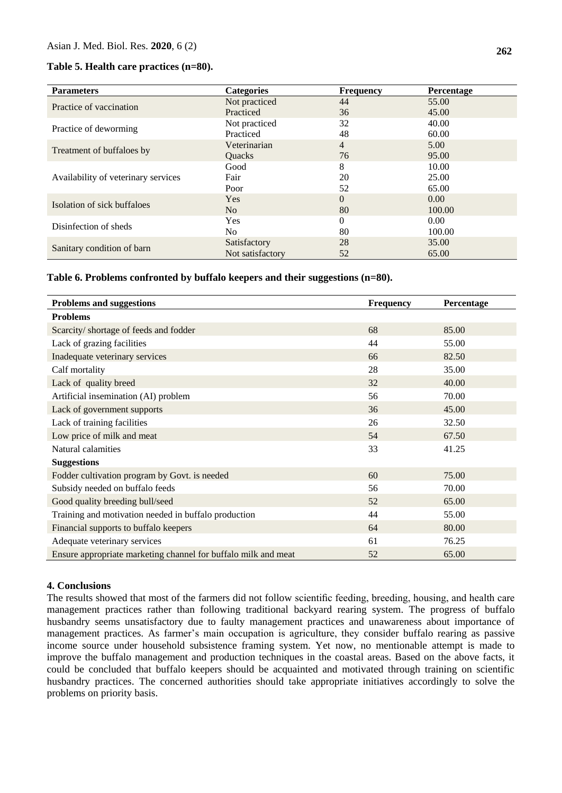## **Table 5. Health care practices (n=80).**

| <b>Parameters</b>                   | <b>Categories</b> | <b>Frequency</b> | Percentage |
|-------------------------------------|-------------------|------------------|------------|
| Practice of vaccination             | Not practiced     | 44               | 55.00      |
|                                     | Practiced         | 36               | 45.00      |
|                                     | Not practiced     | 32               | 40.00      |
| Practice of deworming               | Practiced         | 48               | 60.00      |
|                                     | Veterinarian      | $\overline{4}$   | 5.00       |
| Treatment of buffaloes by           | <b>Ouacks</b>     | 76               | 95.00      |
|                                     | Good              | 8                | 10.00      |
| Availability of veterinary services | Fair              | 20               | 25.00      |
|                                     | Poor              | 52               | 65.00      |
| Isolation of sick buffaloes         | Yes               | $\Omega$         | 0.00       |
|                                     | N <sub>o</sub>    | 80               | 100.00     |
| Disinfection of sheds               | <b>Yes</b>        | $\Omega$         | 0.00       |
|                                     | No.               | 80               | 100.00     |
|                                     | Satisfactory      | 28               | 35.00      |
| Sanitary condition of barn          | Not satisfactory  | 52               | 65.00      |

### **Table 6. Problems confronted by buffalo keepers and their suggestions (n=80).**

| <b>Problems and suggestions</b>                                | <b>Frequency</b> | Percentage |
|----------------------------------------------------------------|------------------|------------|
| <b>Problems</b>                                                |                  |            |
| Scarcity/shortage of feeds and fodder                          | 68               | 85.00      |
| Lack of grazing facilities                                     | 44               | 55.00      |
| Inadequate veterinary services                                 | 66               | 82.50      |
| Calf mortality                                                 | 28               | 35.00      |
| Lack of quality breed                                          | 32               | 40.00      |
| Artificial insemination (AI) problem                           | 56               | 70.00      |
| Lack of government supports                                    | 36               | 45.00      |
| Lack of training facilities                                    | 26               | 32.50      |
| Low price of milk and meat                                     | 54               | 67.50      |
| Natural calamities                                             | 33               | 41.25      |
| <b>Suggestions</b>                                             |                  |            |
| Fodder cultivation program by Govt. is needed                  | 60               | 75.00      |
| Subsidy needed on buffalo feeds                                | 56               | 70.00      |
| Good quality breeding bull/seed                                | 52               | 65.00      |
| Training and motivation needed in buffalo production           | 44               | 55.00      |
| Financial supports to buffalo keepers                          | 64               | 80.00      |
| Adequate veterinary services                                   | 61               | 76.25      |
| Ensure appropriate marketing channel for buffalo milk and meat | 52               | 65.00      |

## **4. Conclusions**

The results showed that most of the farmers did not follow scientific feeding, breeding, housing, and health care management practices rather than following traditional backyard rearing system. The progress of buffalo husbandry seems unsatisfactory due to faulty management practices and unawareness about importance of management practices. As farmer's main occupation is agriculture, they consider buffalo rearing as passive income source under household subsistence framing system. Yet now, no mentionable attempt is made to improve the buffalo management and production techniques in the coastal areas. Based on the above facts, it could be concluded that buffalo keepers should be acquainted and motivated through training on scientific husbandry practices. The concerned authorities should take appropriate initiatives accordingly to solve the problems on priority basis.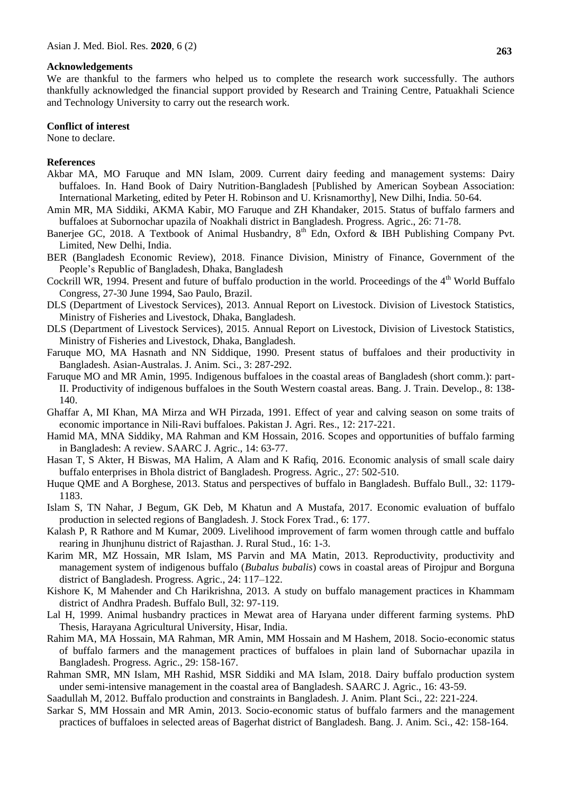### **Acknowledgements**

We are thankful to the farmers who helped us to complete the research work successfully. The authors thankfully acknowledged the financial support provided by Research and Training Centre, Patuakhali Science and Technology University to carry out the research work.

#### **Conflict of interest**

None to declare.

# **References**

- Akbar MA, MO Faruque and MN Islam, 2009. Current dairy feeding and management systems: Dairy buffaloes. In. Hand Book of Dairy Nutrition-Bangladesh [Published by American Soybean Association: International Marketing, edited by Peter H. Robinson and U. Krisnamorthy], New Dilhi, India. 50-64.
- Amin MR, MA Siddiki, AKMA Kabir, MO Faruque and ZH Khandaker, 2015. Status of buffalo farmers and buffaloes at Subornochar upazila of Noakhali district in Bangladesh. Progress. Agric., 26: 71-78.
- Banerjee GC, 2018. A Textbook of Animal Husbandry, 8<sup>th</sup> Edn, Oxford & IBH Publishing Company Pvt. Limited, New Delhi, India.
- BER (Bangladesh Economic Review), 2018. Finance Division, Ministry of Finance, Government of the People's Republic of Bangladesh, Dhaka, Bangladesh
- Cockrill WR, 1994. Present and future of buffalo production in the world. Proceedings of the 4<sup>th</sup> World Buffalo Congress, 27-30 June 1994, Sao Paulo, Brazil.
- DLS (Department of Livestock Services), 2013. Annual Report on Livestock. Division of Livestock Statistics, Ministry of Fisheries and Livestock, Dhaka, Bangladesh.
- DLS (Department of Livestock Services), 2015. Annual Report on Livestock, Division of Livestock Statistics, Ministry of Fisheries and Livestock, Dhaka, Bangladesh.
- Faruque MO, MA Hasnath and NN Siddique, 1990. Present status of buffaloes and their productivity in Bangladesh. Asian-Australas. J. Anim. Sci., 3: 287-292.
- Faruque MO and MR Amin, 1995. Indigenous buffaloes in the coastal areas of Bangladesh (short comm.): part-II. Productivity of indigenous buffaloes in the South Western coastal areas. Bang. J. Train. Develop., 8: 138- 140.
- Ghaffar A, MI Khan, MA Mirza and WH Pirzada, 1991. Effect of year and calving season on some traits of economic importance in Nili-Ravi buffaloes. Pakistan J. Agri. Res., 12: 217-221.
- Hamid MA, MNA Siddiky, MA Rahman and KM Hossain, 2016. Scopes and opportunities of buffalo farming in Bangladesh: A review. SAARC J. Agric., 14: 63-77.
- Hasan T, S Akter, H Biswas, MA Halim, A Alam and K Rafiq, 2016. Economic analysis of small scale dairy buffalo enterprises in Bhola district of Bangladesh. Progress. Agric., 27: 502-510.
- Huque QME and A Borghese, 2013. Status and perspectives of buffalo in Bangladesh. Buffalo Bull., 32: 1179- 1183.
- Islam S, TN Nahar, J Begum, GK Deb, M Khatun and A Mustafa, 2017. Economic evaluation of buffalo production in selected regions of Bangladesh. J. Stock Forex Trad., 6: 177.
- Kalash P, R Rathore and M Kumar, 2009. Livelihood improvement of farm women through cattle and buffalo rearing in Jhunjhunu district of Rajasthan. J. Rural Stud., 16: 1-3.
- Karim MR, MZ Hossain, MR Islam, MS Parvin and MA Matin, 2013. Reproductivity, productivity and management system of indigenous buffalo (*Bubalus bubalis*) cows in coastal areas of Pirojpur and Borguna district of Bangladesh. Progress. Agric., 24: 117–122.
- Kishore K, M Mahender and Ch Harikrishna, 2013. A study on buffalo management practices in Khammam district of Andhra Pradesh. Buffalo Bull, 32: 97-119.
- Lal H, 1999. Animal husbandry practices in Mewat area of Haryana under different farming systems. PhD Thesis, Harayana Agricultural University, Hisar, India.
- Rahim MA, MA Hossain, MA Rahman, MR Amin, MM Hossain and M Hashem, 2018. Socio-economic status of buffalo farmers and the management practices of buffaloes in plain land of Subornachar upazila in Bangladesh. Progress. Agric., 29: 158-167.
- Rahman SMR, MN Islam, MH Rashid, MSR Siddiki and MA Islam, 2018. Dairy buffalo production system under semi-intensive management in the coastal area of Bangladesh. SAARC J. Agric., 16: 43-59.
- Saadullah M, 2012. Buffalo production and constraints in Bangladesh. J. Anim. Plant Sci., 22: 221-224.
- Sarkar S, MM Hossain and MR Amin, 2013. Socio-economic status of buffalo farmers and the management practices of buffaloes in selected areas of Bagerhat district of Bangladesh. Bang. J. Anim. Sci., 42: 158-164.